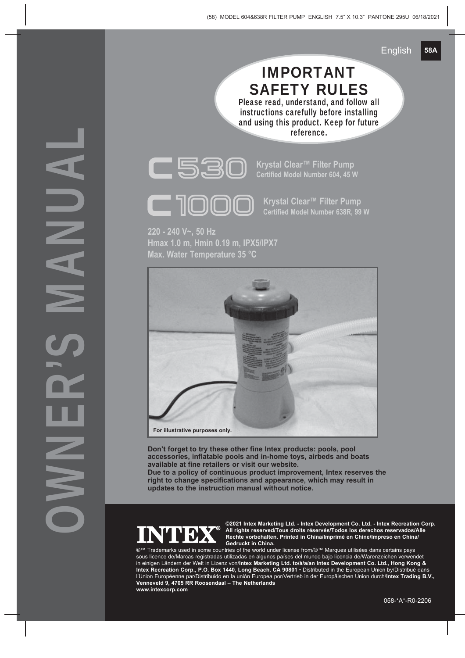## IMPORTANT SAFETY RULES

Please read, understand, and follow all instructions carefully before installing and using this product. Keep for future reference.



**220 - 240 V~, 50 Hz Hmax 1.0 m, Hmin 0.19 m, IPX5/IPX7 Max. Water Temperature 35 °C**



**Don't forget to try these other fine Intex products: pools, pool accessories, inflatable pools and in-home toys, airbeds and boats available at fine retailers or visit our website.**

**Due to a policy of continuous product improvement, Intex reserves the right to change specifications and appearance, which may result in updates to the instruction manual without notice.**



**©2021 Intex Marketing Ltd. - Intex Development Co. Ltd. - Intex Recreation Corp. All rights reserved/Tous droits réservés/Todos los derechos reservados/Alle Rechte vorbehalten. Printed in China/Imprimé en Chine/Impreso en China/ Gedruckt in China.**

®™ Trademarks used in some countries of the world under license from/®™ Marques utilisées dans certains pays sous licence de/Marcas registradas utilizadas en algunos países del mundo bajo licencia de/Warenzeichen verwendet in einigen Ländern der Welt in Lizenz von/**Intex Marketing Ltd. to/à/a/an Intex Development Co. Ltd., Hong Kong & Intex Recreation Corp., P.O. Box 1440, Long Beach, CA 90801** • Distributed in the European Union by/Distribué dans l'Union Européenne par/Distribuido en la unión Europea por/Vertrieb in der Europäischen Union durch/**Intex Trading B.V., Venneveld 9, 4705 RR Roosendaal – The Netherlands www.intexcorp.com**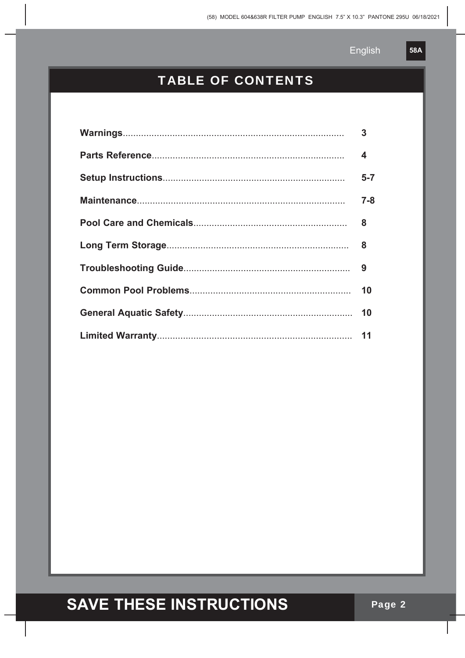**58A** 

#### **TABLE OF CONTENTS**

| $\mathbf{3}$            |
|-------------------------|
| $\overline{\mathbf{4}}$ |
| $5 - 7$                 |
| $7 - 8$                 |
| 8                       |
|                         |
|                         |
| 10                      |
|                         |
|                         |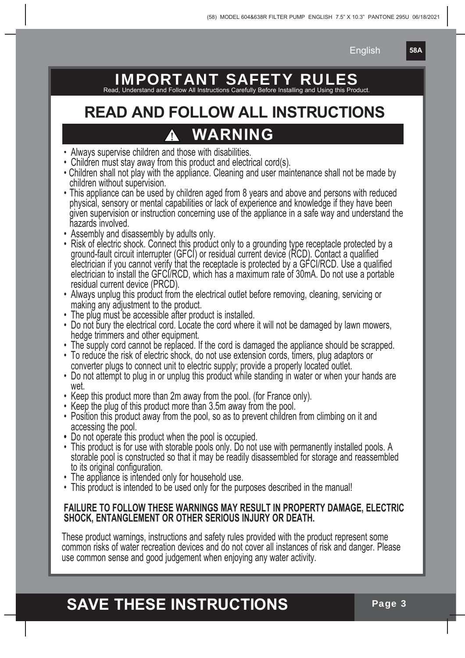**58A**

## IMPORTANT SAFETY RUL

Read, Understand and Follow All Instructions Carefully Before Installing and Using this Product.

## **READ AND FOLLOW ALL INSTRUCTIONS WARNING**

- Always supervise children and those with disabilities.
- Children must stay away from this product and electrical cord(s).
- Children shall not play with the appliance. Cleaning and user maintenance shall not be made by children without supervision.
- This appliance can be used by children aged from 8 years and above and persons with reduced<br>physical, sensory or mental capabilities or lack of experience and knowledge if they have been<br>given supervision or instruction
- 
- Assembly and disassembly by adults only.<br>• Risk of electric shock. Connect this product only to a grounding type receptacle protected by a ground-fault circuit interrupter (GFCI) or residual current device (RCD). Contact a qualified<br>electrician if you cannot verify that the receptacle is protected by a GFCI/RCD. Use a qualified<br>electrician to install the GFCI
- Always unplug this product from the electrical outlet before removing, cleaning, servicing or making any adjustment to the product.
- The plug must be accessible after product is installed.
- Do not bury the electrical cord. Locate the cord where it will not be damaged by lawn mowers, hedge trimmers and other equipment.
- 
- The supply cord cannot be replaced. If the cord is damaged the appliance should be scrapped.<br>• To reduce the risk of electric shock, do not use extension cords, timers, plug adaptors or converter plugs to connect unit to electric supply; provide a properly located outlet.
- Do not attempt to plug in or unplug this product while standing in water or when your hands are wet.
- Keep this product more than 2m away from the pool. (for France only).
- Keep the plug of this product more than 3.5m away from the pool.
- Position this product away from the pool, so as to prevent children from climbing on it and accessing the pool.
- 
- Do not operate this product when the pool is occupied. storable pool is constructed so that it may be readily disassembled for storage and reassembled<br>to its original configuration.
- The appliance is intended only for household use.
- This product is intended to be used only for the purposes described in the manual!

#### **FAILURE TO FOLLOW THESE WARNINGS MAY RESULT IN PROPERTY DAMAGE, ELECTRIC SHOCK, ENTANGLEMENT OR OTHER SERIOUS INJURY OR DEATH.**

These product warnings, instructions and safety rules provided with the product represent some common risks of water recreation devices and do not cover all instances of risk and danger. Please use common sense and good ju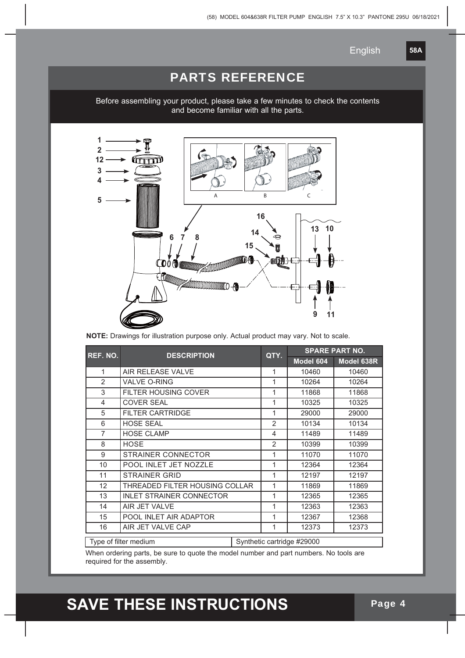**58A**

#### PARTS REFERENCE

Before assembling your product, please take a few minutes to check the contents and become familiar with all the parts.



**NOTE:** Drawings for illustration purpose only. Actual product may vary. Not to scale.

| REF. NO.                                                                                                                                                                                                                                                                                     | <b>DESCRIPTION</b>              | QTY. | <b>SPARE PART NO.</b> |            |       |
|----------------------------------------------------------------------------------------------------------------------------------------------------------------------------------------------------------------------------------------------------------------------------------------------|---------------------------------|------|-----------------------|------------|-------|
|                                                                                                                                                                                                                                                                                              |                                 |      | Model 604             | Model 638R |       |
| 1                                                                                                                                                                                                                                                                                            | AIR RELEASE VALVE               |      | 1                     | 10460      | 10460 |
| $\mathfrak{p}$                                                                                                                                                                                                                                                                               | <b>VALVE O-RING</b>             |      | 1                     | 10264      | 10264 |
| 3                                                                                                                                                                                                                                                                                            | FILTER HOUSING COVER            |      | 1                     | 11868      | 11868 |
| 4                                                                                                                                                                                                                                                                                            | <b>COVER SEAL</b>               |      | 1                     | 10325      | 10325 |
| 5                                                                                                                                                                                                                                                                                            | <b>FILTER CARTRIDGE</b>         |      | 1                     | 29000      | 29000 |
| 6                                                                                                                                                                                                                                                                                            | <b>HOSE SEAL</b>                |      | $\overline{2}$        | 10134      | 10134 |
| $\overline{7}$                                                                                                                                                                                                                                                                               | <b>HOSE CLAMP</b>               |      | $\overline{4}$        | 11489      | 11489 |
| 8                                                                                                                                                                                                                                                                                            | <b>HOSE</b>                     |      | 2                     | 10399      | 10399 |
| 9                                                                                                                                                                                                                                                                                            | <b>STRAINER CONNECTOR</b>       |      | 1                     | 11070      | 11070 |
| 10                                                                                                                                                                                                                                                                                           | POOL INLET JET NOZZLE           |      | 1                     | 12364      | 12364 |
| 11                                                                                                                                                                                                                                                                                           | <b>STRAINER GRID</b>            |      | 1                     | 12197      | 12197 |
| 12                                                                                                                                                                                                                                                                                           | THREADED FILTER HOUSING COLLAR  |      | 1                     | 11869      | 11869 |
| 13                                                                                                                                                                                                                                                                                           | <b>INLET STRAINER CONNECTOR</b> |      | 1                     | 12365      | 12365 |
| 14                                                                                                                                                                                                                                                                                           | AIR JET VALVE                   |      | 1                     | 12363      | 12363 |
| 15                                                                                                                                                                                                                                                                                           | POOL INLET AIR ADAPTOR          |      | 1                     | 12367      | 12368 |
| 16                                                                                                                                                                                                                                                                                           | AIR JET VALVE CAP               |      | 1                     | 12373      | 12373 |
| Type of filter medium<br>Synthetic cartridge #29000<br>$\mathbf{A} \mathbf{B}$ , and a set of the set of the set of the set of the set of the set of the set of the set of the set of the set of the set of the set of the set of the set of the set of the set of the set of the set of the |                                 |      |                       |            |       |

When ordering parts, be sure to quote the model number and part numbers. No tools are required for the assembly.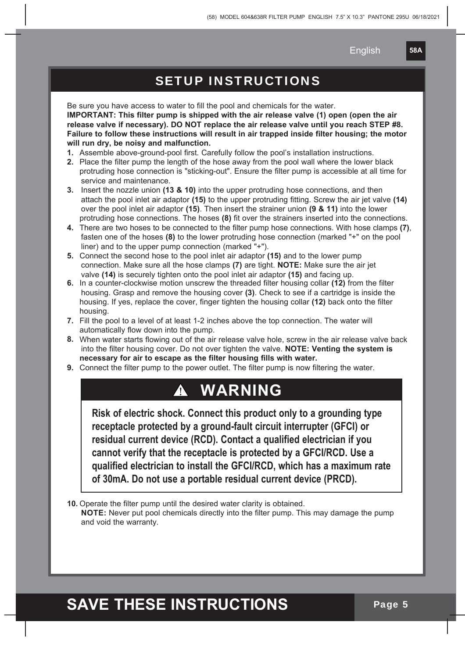**58A**

#### SETUP INSTRUCTIONS

Be sure you have access to water to fill the pool and chemicals for the water. **IMPORTANT: This filter pump is shipped with the air release valve (1) open (open the air release valve if necessary). DO NOT replace the air release valve until you reach STEP #8. Failure to follow these instructions will result in air trapped inside filter housing; the motor will run dry, be noisy and malfunction.**

- **1.** Assemble above-ground-pool first. Carefully follow the pool's installation instructions.
- **2.** Place the filter pump the length of the hose away from the pool wall where the lower black protruding hose connection is "sticking-out". Ensure the filter pump is accessible at all time for service and maintenance.
- **3.** Insert the nozzle union **(13 & 10)** into the upper protruding hose connections, and then attach the pool inlet air adaptor **(15)** to the upper protruding fitting. Screw the air jet valve **(14)** over the pool inlet air adaptor **(15)**. Then insert the strainer union **(9 & 11)** into the lower protruding hose connections. The hoses **(8)** fit over the strainers inserted into the connections.
- **4.** There are two hoses to be connected to the filter pump hose connections. With hose clamps **(7)**, fasten one of the hoses **(8)** to the lower protruding hose connection (marked "+" on the pool liner) and to the upper pump connection (marked "+").
- **5.** Connect the second hose to the pool inlet air adaptor **(15)** and to the lower pump connection. Make sure all the hose clamps **(7)** are tight. **NOTE:** Make sure the air jet valve **(14)** is securely tighten onto the pool inlet air adaptor **(15)** and facing up.
- **6.** In a counter-clockwise motion unscrew the threaded filter housing collar **(12)** from the filter housing. Grasp and remove the housing cover **(3)**. Check to see if a cartridge is inside the housing. If yes, replace the cover, finger tighten the housing collar **(12)** back onto the filter housing.
- **7.** Fill the pool to a level of at least 1-2 inches above the top connection. The water will automatically flow down into the pump.
- **8.** When water starts flowing out of the air release valve hole, screw in the air release valve back into the filter housing cover. Do not over tighten the valve. **NOTE: Venting the system is necessary for air to escape as the filter housing fills with water.**
- **9.** Connect the filter pump to the power outlet. The filter pump is now filtering the water.

### **WARNING**

**Risk of electric shock. Connect this product only to a grounding type receptacle protected by a ground-fault circuit interrupter (GFCI) or residual current device (RCD). Contact a qualified electrician if you cannot verify that the receptacle is protected by a GFCI/RCD. Use a qualified electrician to install the GFCI/RCD, which has a maximum rate of 30mA. Do not use a portable residual current device (PRCD).**

**10.** Operate the filter pump until the desired water clarity is obtained.

 **NOTE:** Never put pool chemicals directly into the filter pump. This may damage the pump and void the warranty.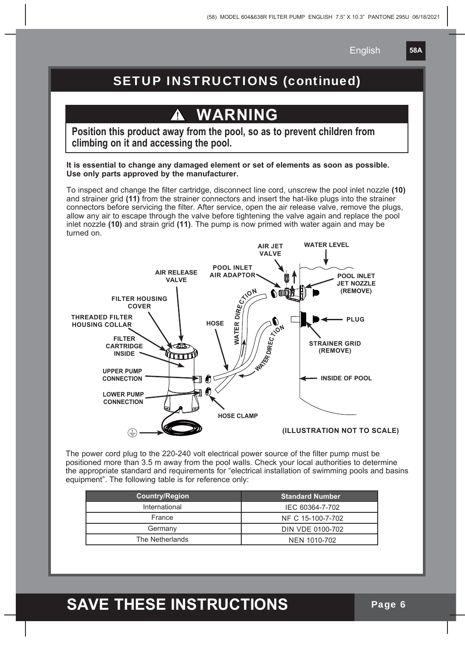**58A**

#### SETUP INSTRUCTIONS (continued)

## **WARNING**

**Position this product away from the pool, so as to prevent children from climbing on it and accessing the pool.**

**It is essential to change any damaged element or set of elements as soon as possible. Use only parts approved by the manufacturer.**

To inspect and change the filter cartridge, disconnect line cord, unscrew the pool inlet nozzle **(10)** and strainer grid **(11)** from the strainer connectors and insert the hat-like plugs into the strainer connectors before servicing the filter. After service, open the air release valve, remove the plugs, allow any air to escape through the valve before tightening the valve again and replace the pool inlet nozzle **(10)** and strain grid **(11)**. The pump is now primed with water again and may be turned on.



The power cord plug to the 220-240 volt electrical power source of the filter pump must be positioned more than 3.5 m away from the pool walls. Check your local authorities to determine the appropriate standard and requirements for "electrical installation of swimming pools and basins equipment". The following table is for reference only:

| <b>Country/Region</b> | <b>Standard Number</b> |
|-----------------------|------------------------|
| International         | IEC 60364-7-702        |
| France                | NF C 15-100-7-702      |
| Germany               | DIN VDE 0100-702       |
| The Netherlands       | NEN 1010-702           |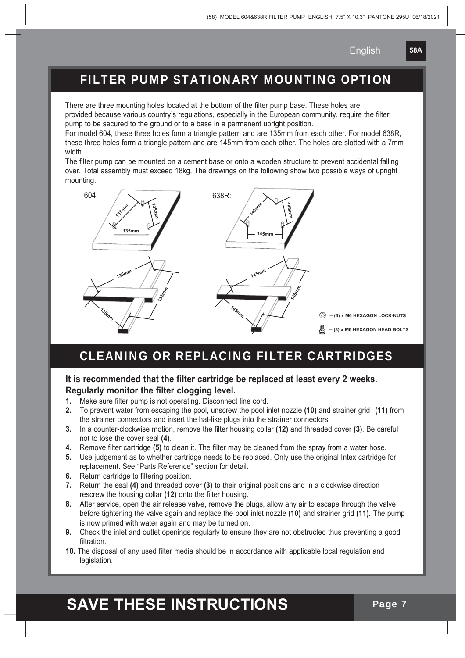**58A**

#### FILTER PUMP STATIONARY MOUNTING OPTION

There are three mounting holes located at the bottom of the filter pump base. These holes are provided because various country's regulations, especially in the European community, require the filter pump to be secured to the ground or to a base in a permanent upright position.

For model 604, these three holes form a triangle pattern and are 135mm from each other. For model 638R, these three holes form a triangle pattern and are 145mm from each other. The holes are slotted with a 7mm width.

The filter pump can be mounted on a cement base or onto a wooden structure to prevent accidental falling over. Total assembly must exceed 18kg. The drawings on the following show two possible ways of upright mounting.



#### CLEANING OR REPLACING FILTER CARTRIDGES

#### **It is recommended that the filter cartridge be replaced at least every 2 weeks. Regularly monitor the filter clogging level.**

- **1.** Make sure filter pump is not operating. Disconnect line cord.
- **2.** To prevent water from escaping the pool, unscrew the pool inlet nozzle **(10)** and strainer grid **(11)** from the strainer connectors and insert the hat-like plugs into the strainer connectors.
- **3.** In a counter-clockwise motion, remove the filter housing collar **(12)** and threaded cover **(3)**. Be careful not to lose the cover seal **(4)**.
- **4.** Remove filter cartridge **(5)** to clean it. The filter may be cleaned from the spray from a water hose.
- **5.** Use judgement as to whether cartridge needs to be replaced. Only use the original Intex cartridge for replacement. See "Parts Reference" section for detail.
- **6.** Return cartridge to filtering position.
- **7.** Return the seal **(4)** and threaded cover **(3)** to their original positions and in a clockwise direction rescrew the housing collar **(12)** onto the filter housing.
- **8.** After service, open the air release valve, remove the plugs, allow any air to escape through the valve before tightening the valve again and replace the pool inlet nozzle **(10)** and strainer grid **(11).** The pump is now primed with water again and may be turned on.
- **9.** Check the inlet and outlet openings regularly to ensure they are not obstructed thus preventing a good filtration.
- **10.** The disposal of any used filter media should be in accordance with applicable local regulation and legislation.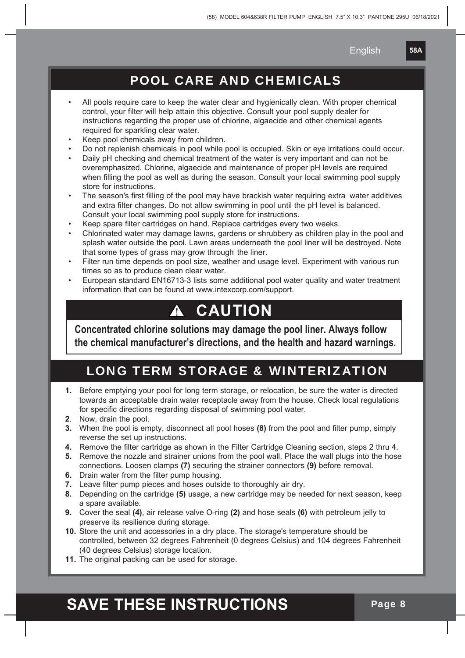**58A**

#### POOL CARE AND CHEMICALS

- All pools require care to keep the water clear and hygienically clean. With proper chemical control, your filter will help attain this objective. Consult your pool supply dealer for instructions regarding the proper use of chlorine, algaecide and other chemical agents required for sparkling clear water.
- Keep pool chemicals away from children.
- Do not replenish chemicals in pool while pool is occupied. Skin or eye irritations could occur.
- Daily pH checking and chemical treatment of the water is very important and can not be overemphasized. Chlorine, algaecide and maintenance of proper pH levels are required when filling the pool as well as during the season. Consult your local swimming pool supply store for instructions.
- The season's first filling of the pool may have brackish water requiring extra water additives and extra filter changes. Do not allow swimming in pool until the pH level is balanced. Consult your local swimming pool supply store for instructions.
- Keep spare filter cartridges on hand. Replace cartridges every two weeks.
- Chlorinated water may damage lawns, gardens or shrubbery as children play in the pool and splash water outside the pool. Lawn areas underneath the pool liner will be destroyed. Note that some types of grass may grow through the liner.
- Filter run time depends on pool size, weather and usage level. Experiment with various run times so as to produce clean clear water.
- European standard EN16713-3 lists some additional pool water quality and water treatment information that can be found at www.intexcorp.com/support.

#### **CAUTION**  $\mathbf{A}$

**Concentrated chlorine solutions may damage the pool liner. Always follow the chemical manufacturer's directions, and the health and hazard warnings.**

#### LONG TERM STORAGE & WINTERIZATION

- **1.** Before emptying your pool for long term storage, or relocation, be sure the water is directed towards an acceptable drain water receptacle away from the house. Check local regulations for specific directions regarding disposal of swimming pool water.
- **2**. Now, drain the pool.
- **3.** When the pool is empty, disconnect all pool hoses **(8)** from the pool and filter pump, simply reverse the set up instructions.
- **4.** Remove the filter cartridge as shown in the Filter Cartridge Cleaning section, steps 2 thru 4.
- **5.** Remove the nozzle and strainer unions from the pool wall. Place the wall plugs into the hose connections. Loosen clamps **(7)** securing the strainer connectors **(9)** before removal.
- **6.** Drain water from the filter pump housing.
- **7.** Leave filter pump pieces and hoses outside to thoroughly air dry.
- **8.** Depending on the cartridge **(5)** usage, a new cartridge may be needed for next season, keep a spare available.
- **9.** Cover the seal **(4)**, air release valve O-ring **(2)** and hose seals **(6)** with petroleum jelly to preserve its resilience during storage.
- **10.** Store the unit and accessories in a dry place. The storage's temperature should be controlled, between 32 degrees Fahrenheit (0 degrees Celsius) and 104 degrees Fahrenheit (40 degrees Celsius) storage location.
- **11.** The original packing can be used for storage.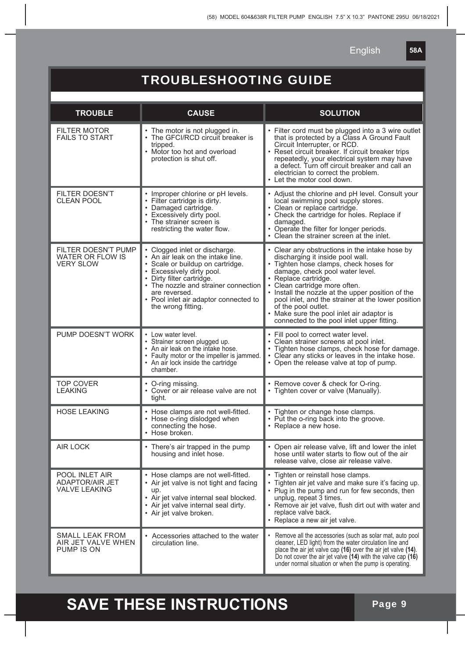**58A**

#### TROUBLESHOOTING GUIDE

| <b>TROUBLE</b>                                                   | <b>CAUSE</b>                                                                                                                                                                                                                                                                             | <b>SOLUTION</b>                                                                                                                                                                                                                                                                                                                                                                                                                                   |
|------------------------------------------------------------------|------------------------------------------------------------------------------------------------------------------------------------------------------------------------------------------------------------------------------------------------------------------------------------------|---------------------------------------------------------------------------------------------------------------------------------------------------------------------------------------------------------------------------------------------------------------------------------------------------------------------------------------------------------------------------------------------------------------------------------------------------|
| <b>FILTER MOTOR</b><br><b>FAILS TO START</b>                     | • The motor is not plugged in.<br>The GFCI/RCD circuit breaker is<br>tripped.<br>Motor too hot and overload<br>protection is shut off.                                                                                                                                                   | • Filter cord must be plugged into a 3 wire outlet<br>that is protected by a Class A Ground Fault<br>Circuit Interrupter, or RCD.<br>Reset circuit breaker. If circuit breaker trips<br>repeatedly, your electrical system may have<br>a defect. Turn off circuit breaker and call an<br>electrician to correct the problem.<br>Let the motor cool down.                                                                                          |
| <b>FILTER DOESN'T</b><br><b>CLEAN POOL</b>                       | • Improper chlorine or pH levels.<br>• Filter cartridge is dirty.<br>• Damaged cartridge.<br>• Excessively dirty pool.<br>The strainer screen is<br>restricting the water flow.                                                                                                          | • Adjust the chlorine and pH level. Consult your<br>local swimming pool supply stores.<br>· Clean or replace cartridge.<br>• Check the cartridge for holes. Replace if<br>damaged.<br>• Operate the filter for longer periods.<br>• Clean the strainer screen at the inlet.                                                                                                                                                                       |
| FILTER DOESN'T PUMP<br>WATER OR FLOW IS<br><b>VERY SLOW</b>      | • Clogged inlet or discharge.<br>• An air leak on the intake line.<br>· Scale or buildup on cartridge.<br>• Excessively dirty pool.<br>· Dirty filter cartridge.<br>• The nozzle and strainer connection<br>are reversed.<br>• Pool inlet air adaptor connected to<br>the wrong fitting. | • Clear any obstructions in the intake hose by<br>discharging it inside pool wall.<br>• Tighten hose clamps, check hoses for<br>damage, check pool water level.<br>Replace cartridge.<br>Clean cartridge more often.<br>• Install the nozzle at the upper position of the<br>pool inlet, and the strainer at the lower position<br>of the pool outlet.<br>• Make sure the pool inlet air adaptor is<br>connected to the pool inlet upper fitting. |
| PUMP DOESN'T WORK                                                | • Low water level.<br>• Strainer screen plugged up.<br>• An air leak on the intake hose.<br>• Faulty motor or the impeller is jammed.<br>• An air lock inside the cartridge<br>chamber.                                                                                                  | Fill pool to correct water level.<br>• Clean strainer screens at pool inlet.<br>• Tighten hose clamps, check hose for damage.<br>• Clear any sticks or leaves in the intake hose.<br>• Open the release valve at top of pump.                                                                                                                                                                                                                     |
| <b>TOP COVER</b><br><b>LEAKING</b>                               | • O-ring missing.<br>• Cover or air release valve are not<br>tight.                                                                                                                                                                                                                      | • Remove cover & check for O-ring.<br>• Tighten cover or valve (Manually).                                                                                                                                                                                                                                                                                                                                                                        |
| <b>HOSE LEAKING</b>                                              | • Hose clamps are not well-fitted.<br>Hose o-ring dislodged when<br>connecting the hose.<br>• Hose broken.                                                                                                                                                                               | • Tighten or change hose clamps.<br>• Put the o-ring back into the groove.<br>• Replace a new hose.                                                                                                                                                                                                                                                                                                                                               |
| <b>AIR LOCK</b>                                                  | There's air trapped in the pump<br>housing and inlet hose.                                                                                                                                                                                                                               | Open air release valve, lift and lower the inlet<br>hose until water starts to flow out of the air<br>release valve, close air release valve.                                                                                                                                                                                                                                                                                                     |
| POOL INLET AIR<br><b>ADAPTOR/AIR JET</b><br><b>VALVE LEAKING</b> | • Hose clamps are not well-fitted.<br>• Air jet valve is not tight and facing<br>up.<br>• Air jet valve internal seal blocked.<br>Air jet valve internal seal dirty.<br>• Air jet valve broken.                                                                                          | Tighten or reinstall hose clamps.<br>Tighten air jet valve and make sure it's facing up.<br>• Plug in the pump and run for few seconds, then<br>unplug, repeat 3 times.<br>• Remove air jet valve, flush dirt out with water and<br>replace valve back.<br>• Replace a new air jet valve.                                                                                                                                                         |
| <b>SMALL LEAK FROM</b><br>AIR JET VALVE WHEN<br>PUMP IS ON       | Accessories attached to the water<br>circulation line.                                                                                                                                                                                                                                   | Remove all the accessories (such as solar mat, auto pool<br>cleaner, LED light) from the water circulation line and<br>place the air jet valve cap (16) over the air jet valve (14).<br>Do not cover the air jet valve (14) with the valve cap (16)<br>under normal situation or when the pump is operating.                                                                                                                                      |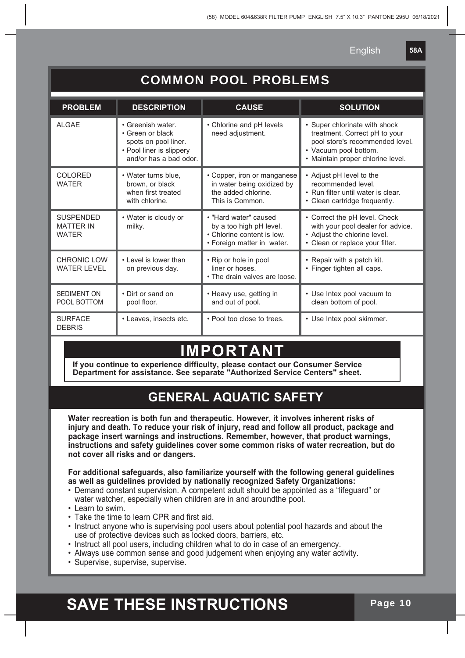**58A**

| <b>COMMON POOL PROBLEMS</b>                          |                                                                                                                     |                                                                                                              |                                                                                                                                                                 |  |  |  |  |
|------------------------------------------------------|---------------------------------------------------------------------------------------------------------------------|--------------------------------------------------------------------------------------------------------------|-----------------------------------------------------------------------------------------------------------------------------------------------------------------|--|--|--|--|
| <b>PROBLEM</b>                                       | <b>DESCRIPTION</b>                                                                                                  | <b>CAUSE</b>                                                                                                 | <b>SOLUTION</b>                                                                                                                                                 |  |  |  |  |
| AI GAF                                               | • Greenish water.<br>• Green or black<br>spots on pool liner.<br>• Pool liner is slippery<br>and/or has a bad odor. | • Chlorine and pH levels<br>need adjustment.                                                                 | • Super chlorinate with shock<br>treatment. Correct pH to your<br>pool store's recommended level.<br>• Vacuum pool bottom.<br>• Maintain proper chlorine level. |  |  |  |  |
| <b>COLORED</b><br><b>WATER</b>                       | • Water turns blue.<br>brown, or black<br>when first treated<br>with chlorine.                                      | • Copper, iron or manganese<br>in water being oxidized by<br>the added chlorine.<br>This is Common.          | • Adjust pH level to the<br>recommended level.<br>• Run filter until water is clear.<br>• Clean cartridge frequently.                                           |  |  |  |  |
| <b>SUSPENDED</b><br><b>MATTER IN</b><br><b>WATER</b> | • Water is cloudy or<br>milky.                                                                                      | • "Hard water" caused<br>by a too high pH level.<br>• Chlorine content is low.<br>• Foreign matter in water. | • Correct the pH level. Check<br>with your pool dealer for advice.<br>• Adjust the chlorine level.<br>• Clean or replace your filter.                           |  |  |  |  |
| <b>CHRONIC LOW</b><br><b>WATER LEVEL</b>             | • Level is lower than<br>on previous day.                                                                           | • Rip or hole in pool<br>liner or hoses.<br>• The drain valves are loose.                                    | • Repair with a patch kit.<br>• Finger tighten all caps.                                                                                                        |  |  |  |  |
| <b>SEDIMENT ON</b><br>POOL BOTTOM                    | • Dirt or sand on<br>pool floor.                                                                                    | • Heavy use, getting in<br>and out of pool.                                                                  | • Use Intex pool vacuum to<br>clean bottom of pool.                                                                                                             |  |  |  |  |
| <b>SURFACE</b><br><b>DEBRIS</b>                      | • Leaves, insects etc.                                                                                              | • Pool too close to trees.                                                                                   | • Use Intex pool skimmer.                                                                                                                                       |  |  |  |  |

#### **IMPORTAN**

**If you continue to experience difficulty, please contact our Consumer Service Department for assistance. See separate "Authorized Service Centers" sheet.**

#### **GENERAL AQUATIC SAFETY**

**Water recreation is both fun and therapeutic. However, it involves inherent risks of injury and death. To reduce your risk of injury, read and follow all product, package and package insert warnings and instructions. Remember, however, that product warnings, instructions and safety guidelines cover some common risks of water recreation, but do not cover all risks and or dangers.**

**For additional safeguards, also familiarize yourself with the following general guidelines as well as guidelines provided by nationally recognized Safety Organizations:**

- Demand constant supervision. A competent adult should be appointed as a "lifeguard" or water watcher, especially when children are in and aroundthe pool.
- Learn to swim.
- Take the time to learn CPR and first aid.
- Instruct anyone who is supervising pool users about potential pool hazards and about the use of protective devices such as locked doors, barriers, etc.
- Instruct all pool users, including children what to do in case of an emergency.
- Always use common sense and good judgement when enjoying any water activity.
- Supervise, supervise, supervise.